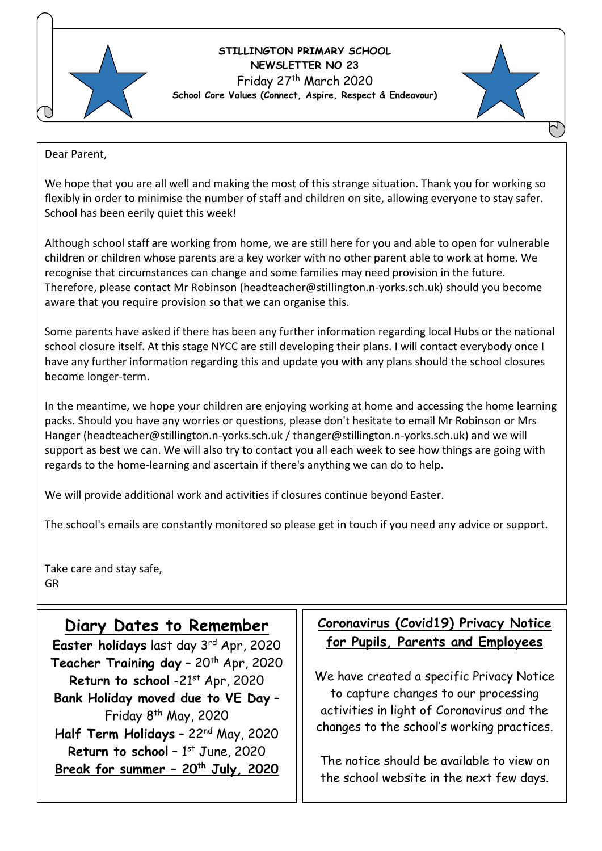

### **STILLINGTON PRIMARY SCHOOL NEWSLETTER NO 23** Friday 27th March 2020 **School Core Values (Connect, Aspire, Respect & Endeavour)**



Dear Parent,

We hope that you are all well and making the most of this strange situation. Thank you for working so flexibly in order to minimise the number of staff and children on site, allowing everyone to stay safer. School has been eerily quiet this week!

Although school staff are working from home, we are still here for you and able to open for vulnerable children or children whose parents are a key worker with no other parent able to work at home. We recognise that circumstances can change and some families may need provision in the future. Therefore, please contact Mr Robinson (headteacher@stillington.n-yorks.sch.uk) should you become aware that you require provision so that we can organise this.

Some parents have asked if there has been any further information regarding local Hubs or the national school closure itself. At this stage NYCC are still developing their plans. I will contact everybody once I have any further information regarding this and update you with any plans should the school closures become longer-term.

In the meantime, we hope your children are enjoying working at home and accessing the home learning packs. Should you have any worries or questions, please don't hesitate to email Mr Robinson or Mrs Hanger (headteacher@stillington.n-yorks.sch.uk / thanger@stillington.n-yorks.sch.uk) and we will support as best we can. We will also try to contact you all each week to see how things are going with regards to the home-learning and ascertain if there's anything we can do to help.

We will provide additional work and activities if closures continue beyond Easter.

The school's emails are constantly monitored so please get in touch if you need any advice or support.

Take care and stay safe, GR

I

I

I

## **Diary Dates to Remember**

Easter holidays last day 3<sup>rd</sup> Apr, 2020 Teacher Training day - 20<sup>th</sup> Apr, 2020 Return to school -21<sup>st</sup> Apr, 2020 **Bank Holiday moved due to VE Day** – Friday  $8<sup>th</sup>$  May, 2020 **Half Term Holidays** – 22nd May, 2020 **Return to school - 1st June, 2020 Break for summer – 20th July, 2020**

## **Coronavirus (Covid19) Privacy Notice for Pupils, Parents and Employees**

 to capture changes to our processing We have created a specific Privacy Notice activities in light of Coronavirus and the changes to the school's working practices.

The notice should be available to view on the school website in the next few days.